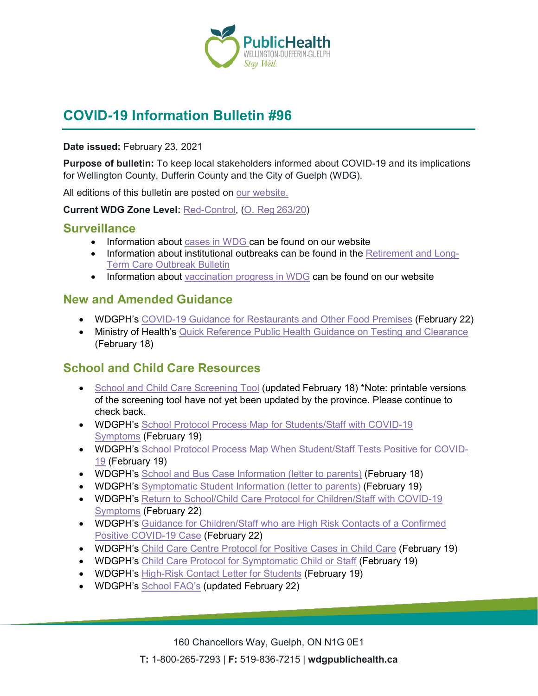

# **COVID-19 Information Bulletin #96**

**Date issued:** February 23, 2021

**Purpose of bulletin:** To keep local stakeholders informed about COVID-19 and its implications for Wellington County, Dufferin County and the City of Guelph (WDG).

All editions of this bulletin are posted on [our website.](https://www.wdgpublichealth.ca/your-health/covid-19-information-workplaces-and-living-spaces/community-stakeholder-bulletins)

**Current WDG Zone Level:** [Red-Control,](https://www.ontario.ca/page/covid-19-response-framework-keeping-ontario-safe-and-open#control) ([O. Reg 263/20](https://www.ontario.ca/laws/regulation/200263))

#### **Surveillance**

- Information about [cases in WDG](https://wdgpublichealth.ca/your-health/covid-19-information-public/status-cases-wdg) can be found on our website
- Information about institutional outbreaks can be found in the [Retirement and Long-](https://wdgpublichealth.ca/node/1542)[Term Care Outbreak Bulletin](https://wdgpublichealth.ca/node/1542)
- Information about [vaccination progress](https://www.wdgpublichealth.ca/your-health/covid-19-information-public/covid-19-vaccine-information-public) in WDG can be found on our website

### **New and Amended Guidance**

- WDGPH's [COVID-19 Guidance for Restaurants and](https://www.wdgpublichealth.ca/sites/default/files/covid-19_guidance_restaurants_and_other_food_premises_-_red_zone_feb_22_2021_final.pdf) Other Food Premises (February 22)
- Ministry of Health's [Quick Reference Public Health Guidance on Testing and Clearance](http://www.health.gov.on.ca/en/pro/programs/publichealth/coronavirus/docs/2019_testing_clearing_cases_guidance.pdf) (February 18)

## **School and Child Care Resources**

- [School and Child Care](https://covid-19.ontario.ca/school-screening/) Screening Tool (updated February 18) \*Note: printable versions of the screening tool have not yet been updated by the province. Please continue to check back.
- WDGPH's [School Protocol Process Map for Students/Staff with](https://www.wdgpublichealth.ca/sites/default/files/school_protocol_for_symptomatic_student_or_staff_feb_19_.pdf) COVID-19 [Symptoms](https://www.wdgpublichealth.ca/sites/default/files/school_protocol_for_symptomatic_student_or_staff_feb_19_.pdf) (February 19)
- WDGPH's [School Protocol Process Map When Student/Staff Tests Positive for](https://www.wdgpublichealth.ca/sites/default/files/school_protocol_for_positive_cases_in_school_feb_19_2021_1.pdf) COVID-[19](https://www.wdgpublichealth.ca/sites/default/files/school_protocol_for_positive_cases_in_school_feb_19_2021_1.pdf) (February 19)
- WDGPH's [School and Bus Case Information \(letter to parents\)](https://www.wdgpublichealth.ca/sites/default/files/school-bus_case_information_sheet_feb_18_2021.pdf) (February 18)
- WDGPH's [Symptomatic Student Information \(letter to parents\)](https://www.wdgpublichealth.ca/sites/default/files/symptomatic_student_information_sheet_feb_19_2020.pdf) (February 19)
- WDGPH's [Return to School/Child Care Protocol for Children/Staff with](https://www.wdgpublichealth.ca/sites/default/files/return_to_schoolchild_care_protocol_for_childrenstaff_with_covid-19_symptoms_feb_22.pdf) COVID-19 [Symptoms](https://www.wdgpublichealth.ca/sites/default/files/return_to_schoolchild_care_protocol_for_childrenstaff_with_covid-19_symptoms_feb_22.pdf) (February 22)
- WDGPH's [Guidance for Children/Staff who are High Risk Contacts of a Confirmed](https://www.wdgpublichealth.ca/sites/default/files/guidance_for_childrenstaff_who_are_hrc_of_positive_case_feb_22.pdf)  Positive [COVID-19 Case](https://www.wdgpublichealth.ca/sites/default/files/guidance_for_childrenstaff_who_are_hrc_of_positive_case_feb_22.pdf) (February 22)
- WDGPH's [Child Care Centre Protocol for Positive Cases in Child Care](https://www.wdgpublichealth.ca/sites/default/files/child_care_centre_protocol_for_positive_cases_in_child_care_feb_19_2021_1.pdf) (February 19)
- WDGPH's [Child Care Protocol for Symptomatic Child or Staff](https://www.wdgpublichealth.ca/sites/default/files/child_care_protocol_for_symptomatic_child_or_staff_feb_19_.pdf) (February 19)
- WDGPH's [High-Risk Contact Letter for Students](https://www.wdgpublichealth.ca/sites/default/files/new_hrc_letter_students_-_feb.19.2021.pdf) (February 19)
- WDGPH's [School FAQ's](https://www.wdgpublichealth.ca/your-health/covid-19-information-schools-parents-and-teachers/schools-frequently-asked-questions) (updated February 22)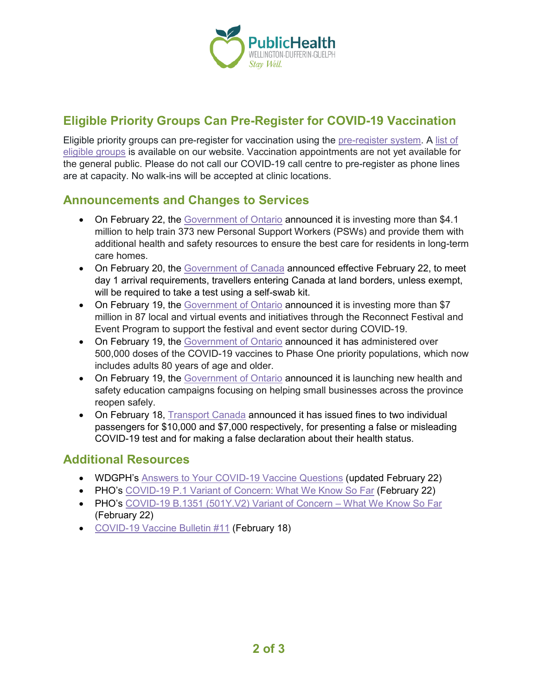

## **Eligible Priority Groups Can Pre-Register for COVID-19 Vaccination**

Eligible priority groups can pre-register for vaccination using the [pre-register system.](https://register.wdgpublichealth.ca/) A list of [eligible groups](https://www.wdgpublichealth.ca/your-health/covid-19-information-workplaces-and-living-spaces/covid-19-information-public/covid-19-5) is available on our website. Vaccination appointments are not yet available for the general public. Please do not call our COVID-19 call centre to pre-register as phone lines are at capacity. No walk-ins will be accepted at clinic locations.

## **Announcements and Changes to Services**

- On February 22, the [Government of Ontario](https://news.ontario.ca/en/release/60416/ontario-supports-training-of-hundreds-of-personal-support-workers) announced it is investing more than \$4.1 million to help train 373 new Personal Support Workers (PSWs) and provide them with additional health and safety resources to ensure the best care for residents in long-term care homes.
- On February 20, the [Government of Canada](https://www.canada.ca/en/public-health/news/2021/02/public-health-agency-of-canada-to-begin-covid-19-testing-at-land-borders-on-monday.html) announced effective February 22, to meet day 1 arrival requirements, travellers entering Canada at land borders, unless exempt, will be required to take a test using a self-swab kit.
- On February 19, the [Government of Ontario](https://news.ontario.ca/en/release/60390/ontario-continues-investing-in-innovative-festivals-and-events) announced it is investing more than \$7 million in 87 local and virtual events and initiatives through the Reconnect Festival and Event Program to support the festival and event sector during COVID-19.
- On February 19, the [Government of Ontario](https://news.ontario.ca/en/release/60389/ontario-administers-over-half-a-million-doses-of-covid-19-vaccines) announced it has administered over 500,000 doses of the COVID-19 vaccines to Phase One priority populations, which now includes adults 80 years of age and older.
- On February 19, the [Government of Ontario](https://news.ontario.ca/en/release/60387/ontario-launches-education-campaign-to-help-workplaces-reopen-safely) announced it is launching new health and safety education campaigns focusing on helping small businesses across the province reopen safely.
- On February 18, [Transport Canada](https://www.canada.ca/en/transport-canada/news/2021/02/transport-canada-fines-two-individuals-for-presenting-falsified-covid-19-test-results.html) announced it has issued fines to two individual passengers for \$10,000 and \$7,000 respectively, for presenting a false or misleading COVID-19 test and for making a false declaration about their health status.

### **Additional Resources**

- WDGPH's [Answers to Your COVID-19 Vaccine Questions](https://www.wdgpublichealth.ca/your-health/covid-19-information-workplaces-and-living-spaces/covid-19-information-public/covid-19-3) (updated February 22)
- PHO's [COVID-19 P.1 Variant of Concern: What We Know So Far](https://www.publichealthontario.ca/-/media/documents/ncov/covid-wwksf/2021/02/wwksf-covid-19-p1-variant-of-concern.pdf?la=en) (February 22)
- PHO's [COVID-19 B.1351 \(501Y.V2\) Variant of Concern –](https://www.publichealthontario.ca/-/media/documents/ncov/covid-wwksf/2021/02/wwksf-covid-19-b1351501yv2-variant-of-concern.pdf?la=en) What We Know So Far (February 22)
- [COVID-19 Vaccine Bulletin #11](https://www.wdgpublichealth.ca/sites/default/files/wdgph_covid-19_vaccine_bulletin_11_feb_18_2021.pdf) (February 18)